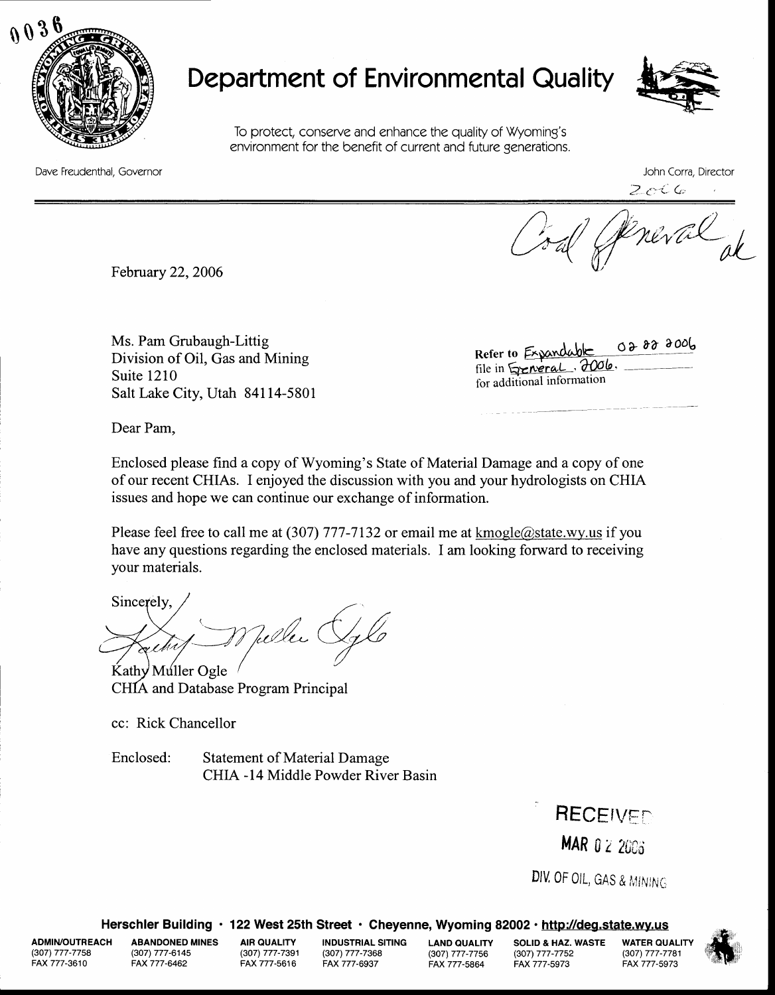

## Department of Environmental Quality



To protect, conserve and enhance the quality of Wyoming's environment for the benefit of current and future generations.

Dave Freudenthal. Governor John Corra, Director

2 c C G

Coal Streval

February 22, 2006

Ms. Pam Grubaugh-Littig Division of Oil, Gas and Mining Suite 1210 Salt Lake City, Utah 84114-5801

 $038000$ Refer to Expandable file in <del>Sycheral</del>, 2006. for additional information

Dear Pam,

Enclosed please find a copy of Wyoming's State of Material Damage and a copy of one of our recent CHIAs. I enjoyed the discussion with you and your hydrologists on CHIA issues and hope we can continue our exchange of information.

Please feel free to call me at (307) 777-7132 or email me at kmogle@state.wy.us if you have any questions regarding the enclosed materials. I am looking forward to receiving your materials.

Sincerely, Teller (

Kathy Muller Ogle CHIA and Database Program Principal

cc: Rick Chancellor

Enclosed: Statement of Material Damage CHIA -14 Middle Powder River Basin

> RECEIVED MAR 0 2 2006

DIV. OF OIL, GAS & MINING

Herschler Building · 122 West 25th Street · Cheyenne, Wyoming 82002 · http://deg.state.wy.us

(307) 777-7758 FAX 777-3610

ADMIN/OUTREACH ABANDONED MINES (307) 777-6145 FAX777-6462

(307) 777-7391 (307) 777-7368 FAX 777-6937 AI<mark>R QUALITY INDUSTRIAL SITING LAND QUALITY SOLID & HAZ. WASTE WATER QUALITY<br>(307) 777-7391 (307) 777-7368 (307) 777-7758 (307) 777-7781</mark>

(3O7\ 777-7756 (307) 777-7752 FAX 777-5864

(307) 777-7781 FAX777-5973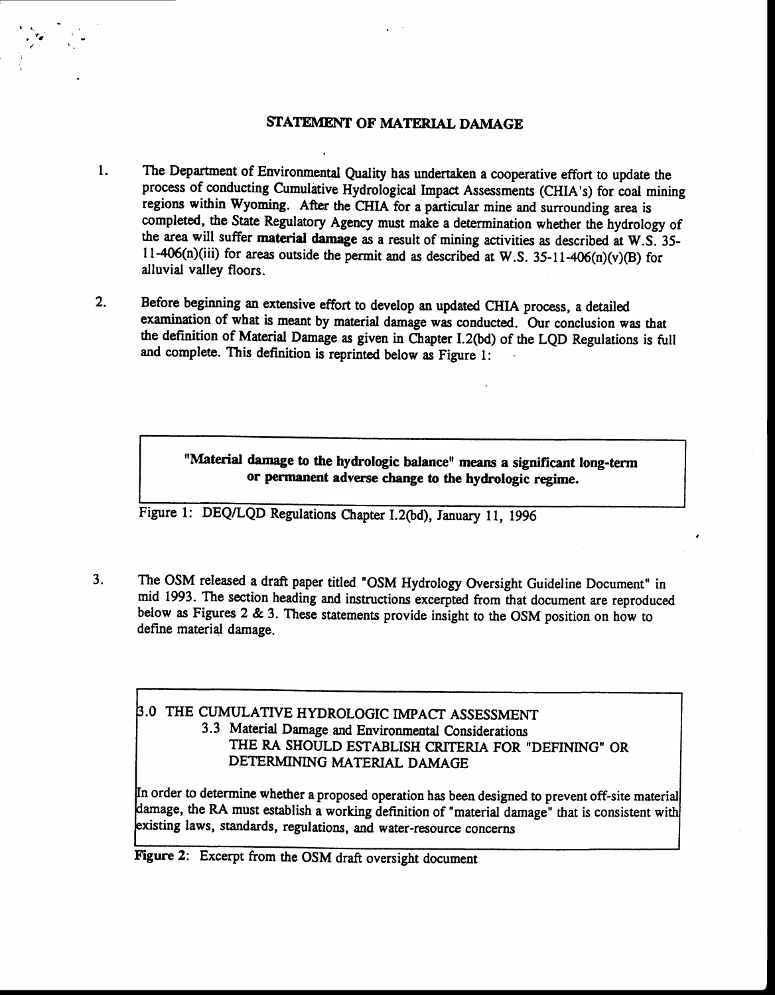## STATEMENT OF MATERIAL DAMAGE

r,

- $\mathbf{1}$ . The Department of Environmental Quality has undertaken a cooperative effort to update the process of conducting Cumulative Hydrological Impact Assessments (CHIA's) for coal mining regions within Wyoming. After the CIIIA for a particular mine and surrounding area is completed, the State Regulatory Agency must make a determination whether the hydrology of the area will suffer material damage as a result of mining activities as described at W.S. 35- 11-406(n)(iii) for areas outside the permit and as described at W.S. 35-11-406(n)(v)(B) for alluvial valley floors.
- Before beginning an extensive effort to develop an updated CIIIA process, a detailed examination of what is meant by material damage was conducted. Our conclusion was that the definition of Material Damage as given in Chapter I.2(bd) of the LQD Regulations is full and complete. This definition is reprinted below as Figure l: 2.

"Material damage to the hydrologic balance" means a significant long-term or permanent adverse change to the hydrologic regime.

Figure 1: DEQ/LQD Regulations Chapter I.2(bd), January 11, 1996

The OSM released a draft paper titled "OSM Hydrology Oversight Guideline Document" in mid 1993. The section heading and instructions excerpted from that document are reproduced below as Figures 2 & 3. These statements provide insight to the OSM position on how to define material damage. 3.

## .O THE CUMULATIVE HYDROLOGIC IMPACT ASSESSMENT 3.3 Materid Damage and Environmental considerations THE RA SHOULD ESTABLISH CRITERIA FOR "DEFINING" OR DETERMINING MATERIAL DAMAGE

In order to determine whether a proposed operation has been designed to prevent off-site material damage, the RA must establish a working definition of "material damage" that is consistent with existing laws, standards, regulations, and water-resource concerns

Figure 2: Excerpt from the OSM draft oversight document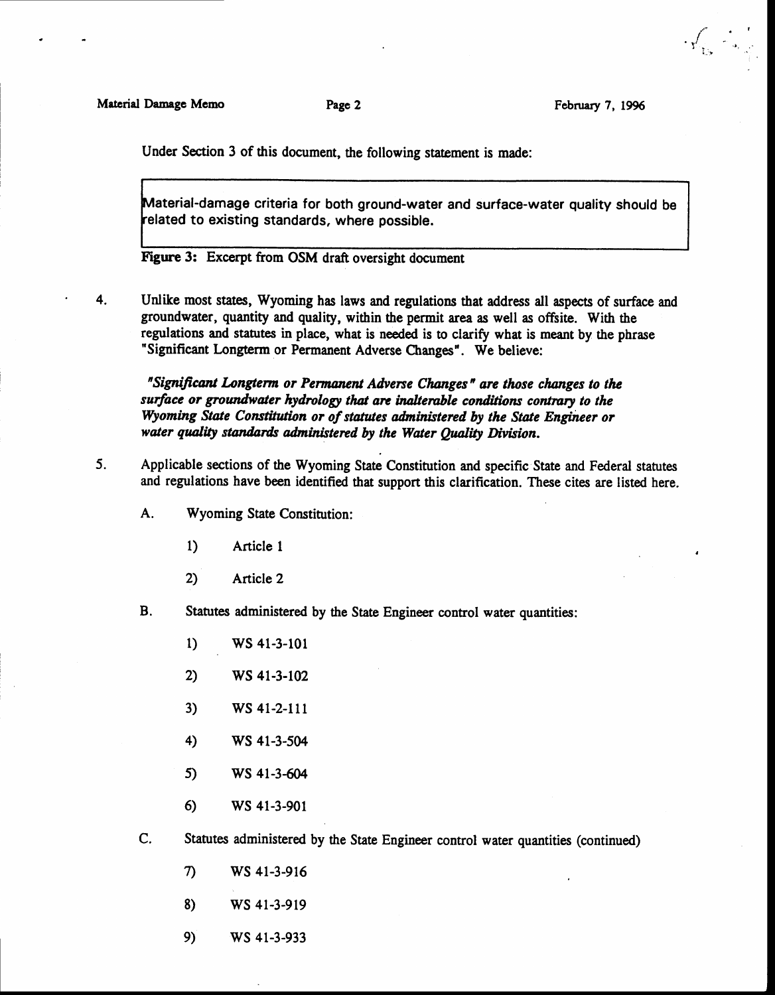t Y' i

Under Section 3 of this document, the following statement is made:

Material-damage criteria for both ground-water and surface-water quality should be related to existing standards, where possible.

Figure 3: Excerpt from OSM draft oversight document

4.

Unlike most states, Wyoming has laws and regulations that address all aspects of surface and groundwater, quantity and quality, within the permit area as well as offsite. With the regulations and statutes in place, what is needed is to clarify what is meant by the phrase "Significant Longterm or Permanent Adverse Changes". We believe:

"Significant Longterm or Permanent Adverse Changes" are those changes to the surface or groundwater hydrology that are inalterable conditions contrary to the Wyoming State Constitution or of statutes administered by the State Engineer or water quality standards administered by the Water Quality Division.

- Applicable sections of the Wyoming State Constitution and specific State and Federal statutes and regulations have been identified that support this clarification. These cites are listed here. 5.
	- A. Wyoming State Constitution:
		- 1) Article I
		- 2) Article 2
	- B. Statutes administered by the State Engineer control water quantities:
		- 1)  $WS 41-3-101$
		- 2) WS 41-3-102
		- 3) WS 41-2-111
		- 4) WS 41-3-s04
		- $5)$  WS 41-3-604
		- 6) WS 41-3-901
	- C. Statutes administered by the State Engineer control water quantities (continued)
		- 7) WS 4t-3 -916
		- WS 41-3-919 8)
		- ws 41-3-933 e)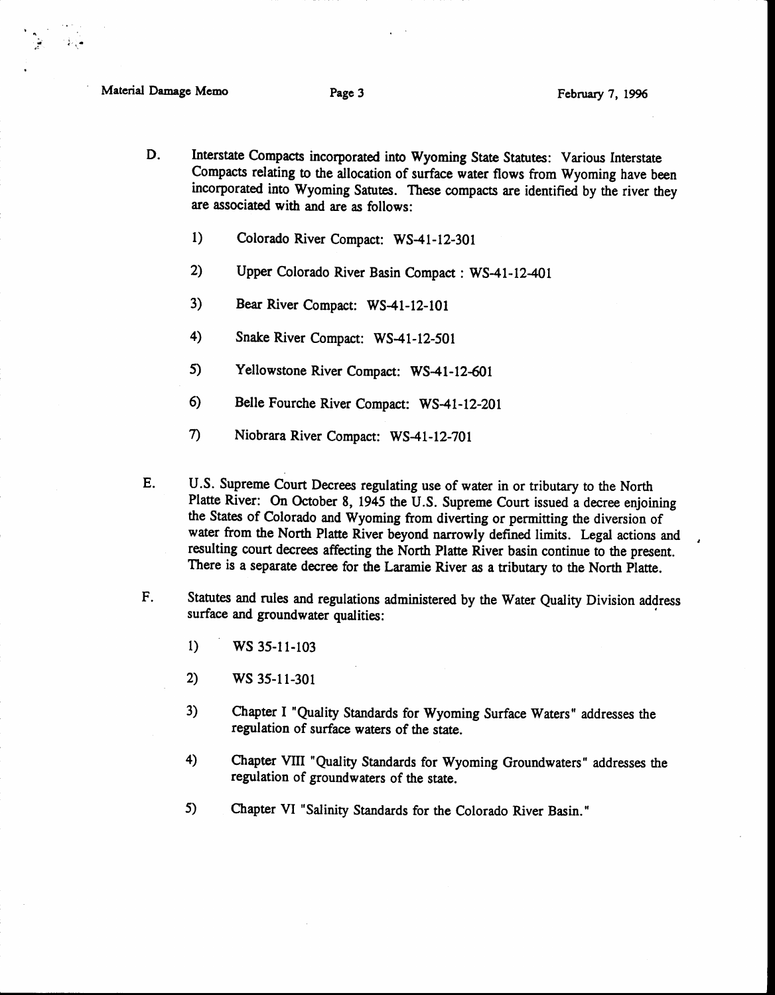$\bullet$ 

; ,t ..r

- D. Interstate Compacts incorporated into Wyoming State Statutes: Various Interstate Compacts relating to the allocation of surface water flows from Wyoming have been incorporated into Wyoming Satutes. These compacts are identified by the river they are associated with and are as follows:
	- $1)$ Colorado River Compact: WS-41 -12-301
	- 2) Upper Colorado River Basin Compact : WS-41-12-401
	- 3) Bear River Compact: WS-41-12-101
	- 4) Snake River Compact: WS-41-12-501
	- $5)$ Yellowstone River Compact: WS-41-12-601
	- 6) Belle Fourche River Compact: WS-41-12-201
	- 7) Niobrara River Compact: WS-41 -12-7Ol
- E. U.S. Supreme Court Decrees regulating use of water in or tributary to the North Platte River: On October 8, 1945 the U.S. Supreme Court issued a decree enjoining the States of Colorado and Wyoming from diverting or permitting the diversion of water from the North Platte River beyond narrowly defined limits. Legal actions and resulting court decrees affecting the North Platte River basin continue to the present. There is a separate decree for the Laramie River as a tributary to the North Platte.
- Statutes and rules and regulations administered by the Water Quality Division address surface and groundwater qualities: F.
	- 1) WS 35-11-103
	- 2) WS 3s-l l-301
	- 3) Chapter I "Quality Standards for Wyoming Surface Waters" addresses the regulation of surface waters of the state.
	- 4) Chapter VIII "Quality Standards for Wyoming Groundwaters" addresses the regulation of groundwaters of the state.
	- 5) Chapter VI "salinity Standards for the Colorado River Basin."